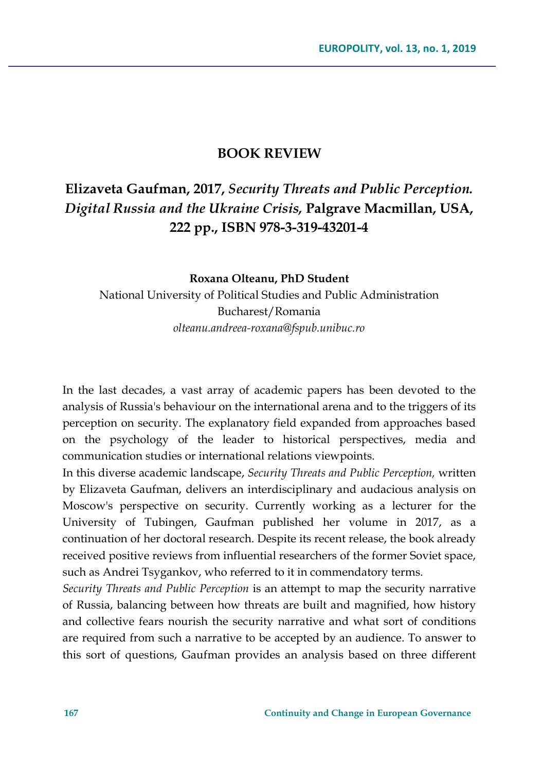## **BOOK REVIEW**

## **Elizaveta Gaufman, 2017,** *Security Threats and Public Perception. Digital Russia and the Ukraine Crisis,* **Palgrave Macmillan, USA, 222 pp., ISBN 978-3-319-43201-4**

## **Roxana Olteanu, PhD Student**

National University of Political Studies and Public Administration Bucharest/Romania *olteanu.andreea-roxana@fspub.unibuc.ro*

In the last decades, a vast array of academic papers has been devoted to the analysis of Russia's behaviour on the international arena and to the triggers of its perception on security. The explanatory field expanded from approaches based on the psychology of the leader to historical perspectives, media and communication studies or international relations viewpoints.

In this diverse academic landscape, *Security Threats and Public Perception,* written by Elizaveta Gaufman, delivers an interdisciplinary and audacious analysis on Moscow's perspective on security. Currently working as a lecturer for the University of Tubingen, Gaufman published her volume in 2017, as a continuation of her doctoral research. Despite its recent release, the book already received positive reviews from influential researchers of the former Soviet space, such as Andrei Tsygankov, who referred to it in commendatory terms.

*Security Threats and Public Perception* is an attempt to map the security narrative of Russia, balancing between how threats are built and magnified, how history and collective fears nourish the security narrative and what sort of conditions are required from such a narrative to be accepted by an audience. To answer to this sort of questions, Gaufman provides an analysis based on three different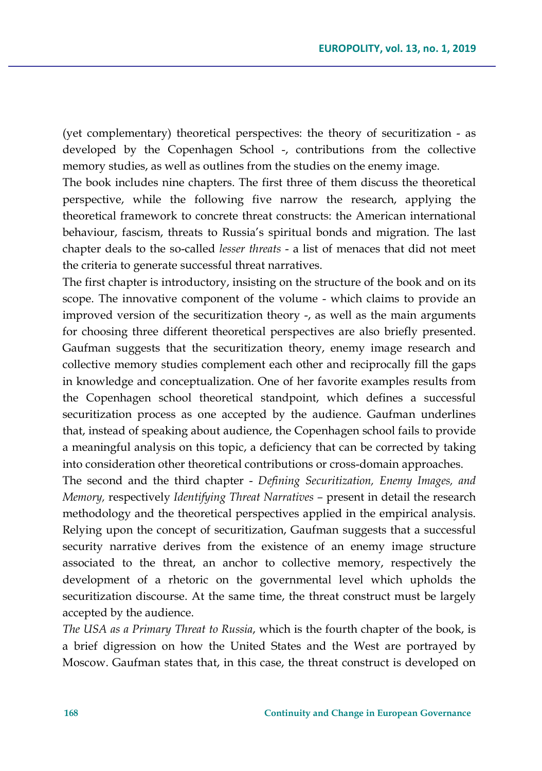(yet complementary) theoretical perspectives: the theory of securitization - as developed by the Copenhagen School -, contributions from the collective memory studies, as well as outlines from the studies on the enemy image.

The book includes nine chapters. The first three of them discuss the theoretical perspective, while the following five narrow the research, applying the theoretical framework to concrete threat constructs: the American international behaviour, fascism, threats to Russia's spiritual bonds and migration. The last chapter deals to the so-called *lesser threats* - a list of menaces that did not meet the criteria to generate successful threat narratives.

The first chapter is introductory, insisting on the structure of the book and on its scope. The innovative component of the volume - which claims to provide an improved version of the securitization theory -, as well as the main arguments for choosing three different theoretical perspectives are also briefly presented. Gaufman suggests that the securitization theory, enemy image research and collective memory studies complement each other and reciprocally fill the gaps in knowledge and conceptualization. One of her favorite examples results from the Copenhagen school theoretical standpoint, which defines a successful securitization process as one accepted by the audience. Gaufman underlines that, instead of speaking about audience, the Copenhagen school fails to provide a meaningful analysis on this topic, a deficiency that can be corrected by taking into consideration other theoretical contributions or cross-domain approaches.

The second and the third chapter - *Defining Securitization, Enemy Images, and Memory,* respectively *Identifying Threat Narratives –* present in detail the research methodology and the theoretical perspectives applied in the empirical analysis. Relying upon the concept of securitization, Gaufman suggests that a successful security narrative derives from the existence of an enemy image structure associated to the threat, an anchor to collective memory, respectively the development of a rhetoric on the governmental level which upholds the securitization discourse. At the same time, the threat construct must be largely accepted by the audience.

*The USA as a Primary Threat to Russia*, which is the fourth chapter of the book, is a brief digression on how the United States and the West are portrayed by Moscow. Gaufman states that, in this case, the threat construct is developed on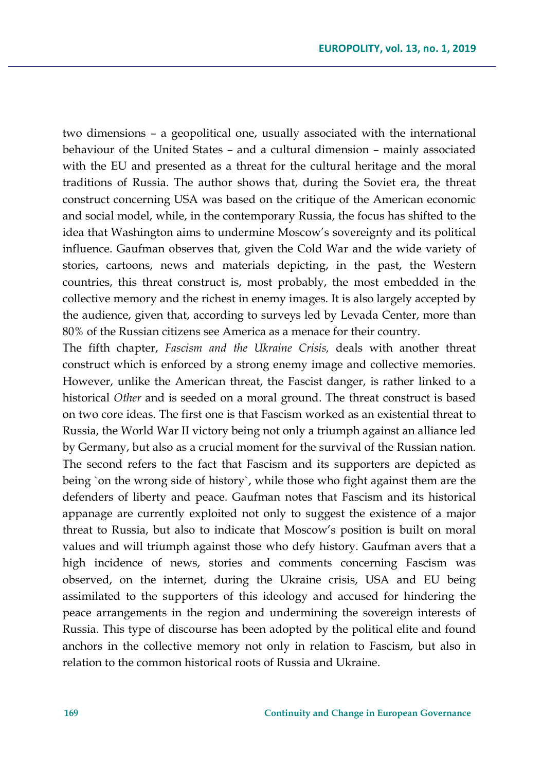two dimensions – a geopolitical one, usually associated with the international behaviour of the United States – and a cultural dimension – mainly associated with the EU and presented as a threat for the cultural heritage and the moral traditions of Russia. The author shows that, during the Soviet era, the threat construct concerning USA was based on the critique of the American economic and social model, while, in the contemporary Russia, the focus has shifted to the idea that Washington aims to undermine Moscow's sovereignty and its political influence. Gaufman observes that, given the Cold War and the wide variety of stories, cartoons, news and materials depicting, in the past, the Western countries, this threat construct is, most probably, the most embedded in the collective memory and the richest in enemy images. It is also largely accepted by the audience, given that, according to surveys led by Levada Center, more than 80% of the Russian citizens see America as a menace for their country.

The fifth chapter, *Fascism and the Ukraine Crisis,* deals with another threat construct which is enforced by a strong enemy image and collective memories. However, unlike the American threat, the Fascist danger, is rather linked to a historical *Other* and is seeded on a moral ground. The threat construct is based on two core ideas. The first one is that Fascism worked as an existential threat to Russia, the World War II victory being not only a triumph against an alliance led by Germany, but also as a crucial moment for the survival of the Russian nation. The second refers to the fact that Fascism and its supporters are depicted as being `on the wrong side of history`, while those who fight against them are the defenders of liberty and peace. Gaufman notes that Fascism and its historical appanage are currently exploited not only to suggest the existence of a major threat to Russia, but also to indicate that Moscow's position is built on moral values and will triumph against those who defy history. Gaufman avers that a high incidence of news, stories and comments concerning Fascism was observed, on the internet, during the Ukraine crisis, USA and EU being assimilated to the supporters of this ideology and accused for hindering the peace arrangements in the region and undermining the sovereign interests of Russia. This type of discourse has been adopted by the political elite and found anchors in the collective memory not only in relation to Fascism, but also in relation to the common historical roots of Russia and Ukraine.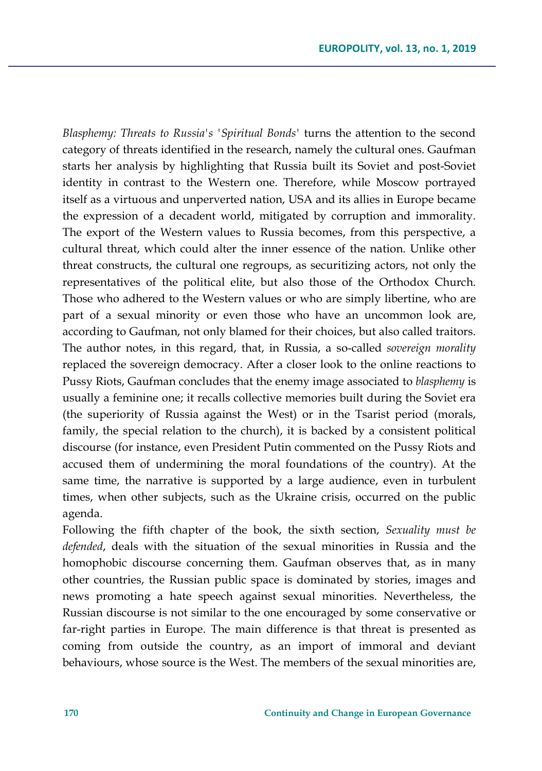*Blasphemy: Threats to Russia's 'Spiritual Bonds'* turns the attention to the second category of threats identified in the research, namely the cultural ones. Gaufman starts her analysis by highlighting that Russia built its Soviet and post-Soviet identity in contrast to the Western one. Therefore, while Moscow portrayed itself as a virtuous and unperverted nation, USA and its allies in Europe became the expression of a decadent world, mitigated by corruption and immorality. The export of the Western values to Russia becomes, from this perspective, a cultural threat, which could alter the inner essence of the nation. Unlike other threat constructs, the cultural one regroups, as securitizing actors, not only the representatives of the political elite, but also those of the Orthodox Church. Those who adhered to the Western values or who are simply libertine, who are part of a sexual minority or even those who have an uncommon look are, according to Gaufman, not only blamed for their choices, but also called traitors. The author notes, in this regard, that, in Russia, a so-called *sovereign morality* replaced the sovereign democracy. After a closer look to the online reactions to Pussy Riots, Gaufman concludes that the enemy image associated to *blasphemy* is usually a feminine one; it recalls collective memories built during the Soviet era (the superiority of Russia against the West) or in the Tsarist period (morals, family, the special relation to the church), it is backed by a consistent political discourse (for instance, even President Putin commented on the Pussy Riots and accused them of undermining the moral foundations of the country). At the same time, the narrative is supported by a large audience, even in turbulent times, when other subjects, such as the Ukraine crisis, occurred on the public agenda.

Following the fifth chapter of the book, the sixth section, *Sexuality must be defended*, deals with the situation of the sexual minorities in Russia and the homophobic discourse concerning them. Gaufman observes that, as in many other countries, the Russian public space is dominated by stories, images and news promoting a hate speech against sexual minorities. Nevertheless, the Russian discourse is not similar to the one encouraged by some conservative or far-right parties in Europe. The main difference is that threat is presented as coming from outside the country, as an import of immoral and deviant behaviours, whose source is the West. The members of the sexual minorities are,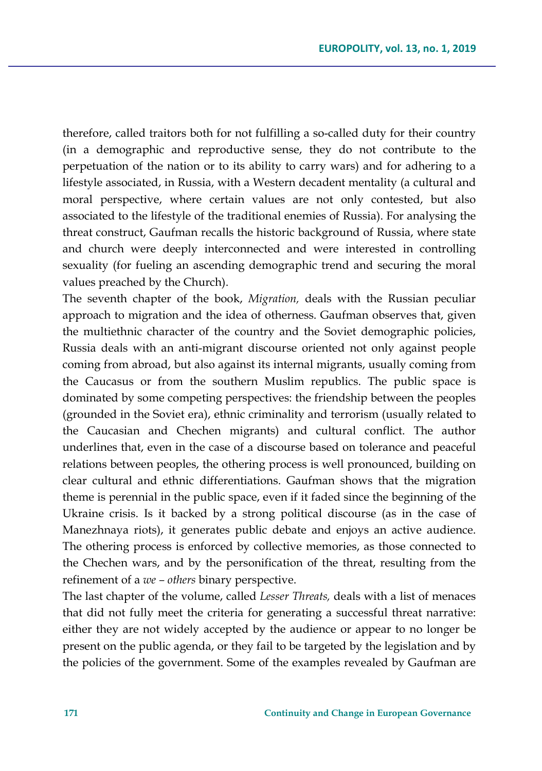therefore, called traitors both for not fulfilling a so-called duty for their country (in a demographic and reproductive sense, they do not contribute to the perpetuation of the nation or to its ability to carry wars) and for adhering to a lifestyle associated, in Russia, with a Western decadent mentality (a cultural and moral perspective, where certain values are not only contested, but also associated to the lifestyle of the traditional enemies of Russia). For analysing the threat construct, Gaufman recalls the historic background of Russia, where state and church were deeply interconnected and were interested in controlling sexuality (for fueling an ascending demographic trend and securing the moral values preached by the Church).

The seventh chapter of the book, *Migration,* deals with the Russian peculiar approach to migration and the idea of otherness. Gaufman observes that, given the multiethnic character of the country and the Soviet demographic policies, Russia deals with an anti-migrant discourse oriented not only against people coming from abroad, but also against its internal migrants, usually coming from the Caucasus or from the southern Muslim republics. The public space is dominated by some competing perspectives: the friendship between the peoples (grounded in the Soviet era), ethnic criminality and terrorism (usually related to the Caucasian and Chechen migrants) and cultural conflict. The author underlines that, even in the case of a discourse based on tolerance and peaceful relations between peoples, the othering process is well pronounced, building on clear cultural and ethnic differentiations. Gaufman shows that the migration theme is perennial in the public space, even if it faded since the beginning of the Ukraine crisis. Is it backed by a strong political discourse (as in the case of Manezhnaya riots), it generates public debate and enjoys an active audience. The othering process is enforced by collective memories, as those connected to the Chechen wars, and by the personification of the threat, resulting from the refinement of a *we – others* binary perspective.

The last chapter of the volume, called *Lesser Threats,* deals with a list of menaces that did not fully meet the criteria for generating a successful threat narrative: either they are not widely accepted by the audience or appear to no longer be present on the public agenda, or they fail to be targeted by the legislation and by the policies of the government. Some of the examples revealed by Gaufman are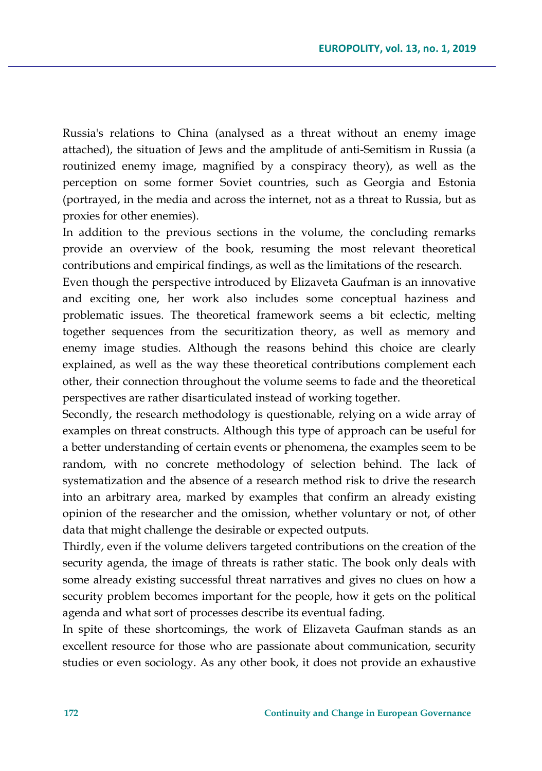Russia's relations to China (analysed as a threat without an enemy image attached), the situation of Jews and the amplitude of anti-Semitism in Russia (a routinized enemy image, magnified by a conspiracy theory), as well as the perception on some former Soviet countries, such as Georgia and Estonia (portrayed, in the media and across the internet, not as a threat to Russia, but as proxies for other enemies).

In addition to the previous sections in the volume, the concluding remarks provide an overview of the book, resuming the most relevant theoretical contributions and empirical findings, as well as the limitations of the research.

Even though the perspective introduced by Elizaveta Gaufman is an innovative and exciting one, her work also includes some conceptual haziness and problematic issues. The theoretical framework seems a bit eclectic, melting together sequences from the securitization theory, as well as memory and enemy image studies. Although the reasons behind this choice are clearly explained, as well as the way these theoretical contributions complement each other, their connection throughout the volume seems to fade and the theoretical perspectives are rather disarticulated instead of working together.

Secondly, the research methodology is questionable, relying on a wide array of examples on threat constructs. Although this type of approach can be useful for a better understanding of certain events or phenomena, the examples seem to be random, with no concrete methodology of selection behind. The lack of systematization and the absence of a research method risk to drive the research into an arbitrary area, marked by examples that confirm an already existing opinion of the researcher and the omission, whether voluntary or not, of other data that might challenge the desirable or expected outputs.

Thirdly, even if the volume delivers targeted contributions on the creation of the security agenda, the image of threats is rather static. The book only deals with some already existing successful threat narratives and gives no clues on how a security problem becomes important for the people, how it gets on the political agenda and what sort of processes describe its eventual fading.

In spite of these shortcomings, the work of Elizaveta Gaufman stands as an excellent resource for those who are passionate about communication, security studies or even sociology. As any other book, it does not provide an exhaustive